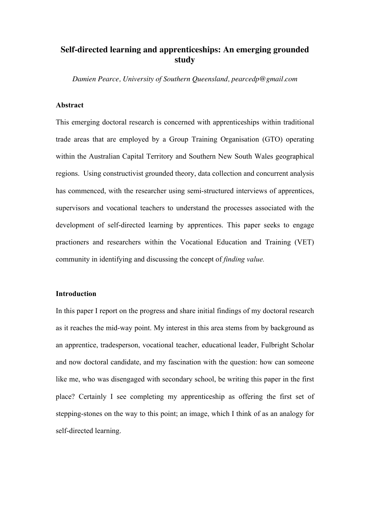# **Self-directed learning and apprenticeships: An emerging grounded study**

*Damien Pearce, University of Southern Queensland, pearcedp@gmail.com*

# **Abstract**

This emerging doctoral research is concerned with apprenticeships within traditional trade areas that are employed by a Group Training Organisation (GTO) operating within the Australian Capital Territory and Southern New South Wales geographical regions. Using constructivist grounded theory, data collection and concurrent analysis has commenced, with the researcher using semi-structured interviews of apprentices, supervisors and vocational teachers to understand the processes associated with the development of self-directed learning by apprentices. This paper seeks to engage practioners and researchers within the Vocational Education and Training (VET) community in identifying and discussing the concept of *finding value.*

# **Introduction**

In this paper I report on the progress and share initial findings of my doctoral research as it reaches the mid-way point. My interest in this area stems from by background as an apprentice, tradesperson, vocational teacher, educational leader, Fulbright Scholar and now doctoral candidate, and my fascination with the question: how can someone like me, who was disengaged with secondary school, be writing this paper in the first place? Certainly I see completing my apprenticeship as offering the first set of stepping-stones on the way to this point; an image, which I think of as an analogy for self-directed learning.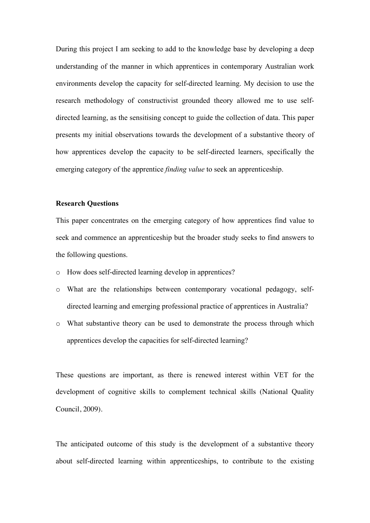During this project I am seeking to add to the knowledge base by developing a deep understanding of the manner in which apprentices in contemporary Australian work environments develop the capacity for self-directed learning. My decision to use the research methodology of constructivist grounded theory allowed me to use selfdirected learning, as the sensitising concept to guide the collection of data. This paper presents my initial observations towards the development of a substantive theory of how apprentices develop the capacity to be self-directed learners, specifically the emerging category of the apprentice *finding value* to seek an apprenticeship.

# **Research Questions**

This paper concentrates on the emerging category of how apprentices find value to seek and commence an apprenticeship but the broader study seeks to find answers to the following questions.

- o How does self-directed learning develop in apprentices?
- o What are the relationships between contemporary vocational pedagogy, selfdirected learning and emerging professional practice of apprentices in Australia?
- o What substantive theory can be used to demonstrate the process through which apprentices develop the capacities for self-directed learning?

These questions are important, as there is renewed interest within VET for the development of cognitive skills to complement technical skills (National Quality Council, 2009).

The anticipated outcome of this study is the development of a substantive theory about self-directed learning within apprenticeships, to contribute to the existing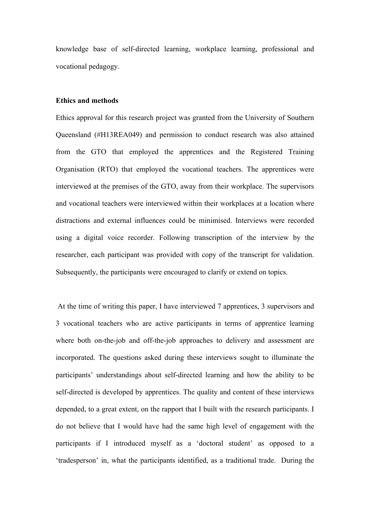knowledge base of self-directed learning, workplace learning, professional and vocational pedagogy.

# **Ethics and methods**

Ethics approval for this research project was granted from the University of Southern Queensland (#H13REA049) and permission to conduct research was also attained from the GTO that employed the apprentices and the Registered Training Organisation (RTO) that employed the vocational teachers. The apprentices were interviewed at the premises of the GTO, away from their workplace. The supervisors and vocational teachers were interviewed within their workplaces at a location where distractions and external influences could be minimised. Interviews were recorded using a digital voice recorder. Following transcription of the interview by the researcher, each participant was provided with copy of the transcript for validation. Subsequently, the participants were encouraged to clarify or extend on topics.

At the time of writing this paper, I have interviewed 7 apprentices, 3 supervisors and 3 vocational teachers who are active participants in terms of apprentice learning where both on-the-job and off-the-job approaches to delivery and assessment are incorporated. The questions asked during these interviews sought to illuminate the participants' understandings about self-directed learning and how the ability to be self-directed is developed by apprentices. The quality and content of these interviews depended, to a great extent, on the rapport that I built with the research participants. I do not believe that I would have had the same high level of engagement with the participants if I introduced myself as a 'doctoral student' as opposed to a 'tradesperson' in, what the participants identified, as a traditional trade. During the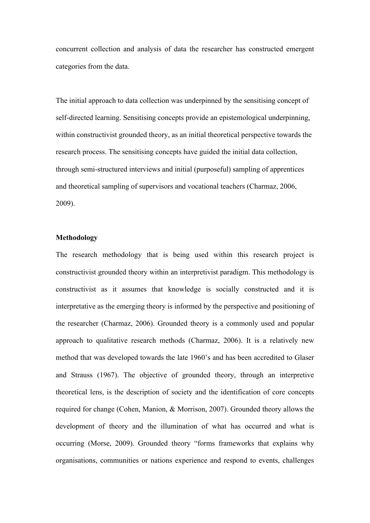concurrent collection and analysis of data the researcher has constructed emergent categories from the data.

The initial approach to data collection was underpinned by the sensitising concept of self-directed learning. Sensitising concepts provide an epistemological underpinning, within constructivist grounded theory, as an initial theoretical perspective towards the research process. The sensitising concepts have guided the initial data collection, through semi-structured interviews and initial (purposeful) sampling of apprentices and theoretical sampling of supervisors and vocational teachers (Charmaz, 2006, 2009).

# **Methodology**

The research methodology that is being used within this research project is constructivist grounded theory within an interpretivist paradigm. This methodology is constructivist as it assumes that knowledge is socially constructed and it is interpretative as the emerging theory is informed by the perspective and positioning of the researcher (Charmaz, 2006). Grounded theory is a commonly used and popular approach to qualitative research methods (Charmaz, 2006). It is a relatively new method that was developed towards the late 1960's and has been accredited to Glaser and Strauss (1967). The objective of grounded theory, through an interpretive theoretical lens, is the description of society and the identification of core concepts required for change (Cohen, Manion, & Morrison, 2007). Grounded theory allows the development of theory and the illumination of what has occurred and what is occurring (Morse, 2009). Grounded theory "forms frameworks that explains why organisations, communities or nations experience and respond to events, challenges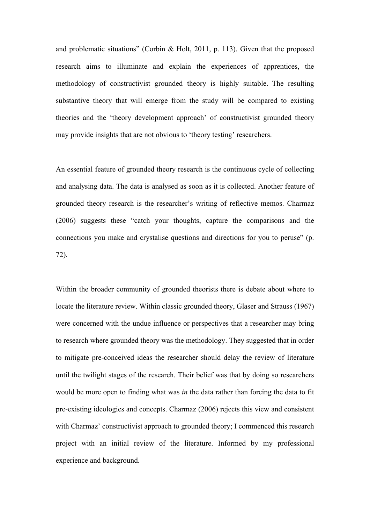and problematic situations" (Corbin & Holt, 2011, p. 113). Given that the proposed research aims to illuminate and explain the experiences of apprentices, the methodology of constructivist grounded theory is highly suitable. The resulting substantive theory that will emerge from the study will be compared to existing theories and the 'theory development approach' of constructivist grounded theory may provide insights that are not obvious to 'theory testing' researchers.

An essential feature of grounded theory research is the continuous cycle of collecting and analysing data. The data is analysed as soon as it is collected. Another feature of grounded theory research is the researcher's writing of reflective memos. Charmaz (2006) suggests these "catch your thoughts, capture the comparisons and the connections you make and crystalise questions and directions for you to peruse" (p. 72).

Within the broader community of grounded theorists there is debate about where to locate the literature review. Within classic grounded theory, Glaser and Strauss (1967) were concerned with the undue influence or perspectives that a researcher may bring to research where grounded theory was the methodology. They suggested that in order to mitigate pre-conceived ideas the researcher should delay the review of literature until the twilight stages of the research. Their belief was that by doing so researchers would be more open to finding what was *in* the data rather than forcing the data to fit pre-existing ideologies and concepts. Charmaz (2006) rejects this view and consistent with Charmaz' constructivist approach to grounded theory; I commenced this research project with an initial review of the literature. Informed by my professional experience and background.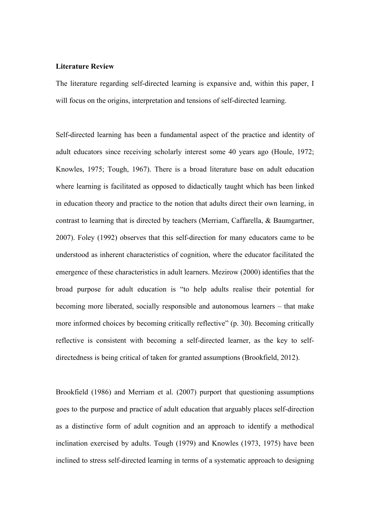## **Literature Review**

The literature regarding self-directed learning is expansive and, within this paper, I will focus on the origins, interpretation and tensions of self-directed learning.

Self-directed learning has been a fundamental aspect of the practice and identity of adult educators since receiving scholarly interest some 40 years ago (Houle, 1972; Knowles, 1975; Tough, 1967). There is a broad literature base on adult education where learning is facilitated as opposed to didactically taught which has been linked in education theory and practice to the notion that adults direct their own learning, in contrast to learning that is directed by teachers (Merriam, Caffarella, & Baumgartner, 2007). Foley (1992) observes that this self-direction for many educators came to be understood as inherent characteristics of cognition, where the educator facilitated the emergence of these characteristics in adult learners. Mezirow (2000) identifies that the broad purpose for adult education is "to help adults realise their potential for becoming more liberated, socially responsible and autonomous learners – that make more informed choices by becoming critically reflective" (p. 30). Becoming critically reflective is consistent with becoming a self-directed learner, as the key to selfdirectedness is being critical of taken for granted assumptions (Brookfield, 2012).

Brookfield (1986) and Merriam et al. (2007) purport that questioning assumptions goes to the purpose and practice of adult education that arguably places self-direction as a distinctive form of adult cognition and an approach to identify a methodical inclination exercised by adults. Tough (1979) and Knowles (1973, 1975) have been inclined to stress self-directed learning in terms of a systematic approach to designing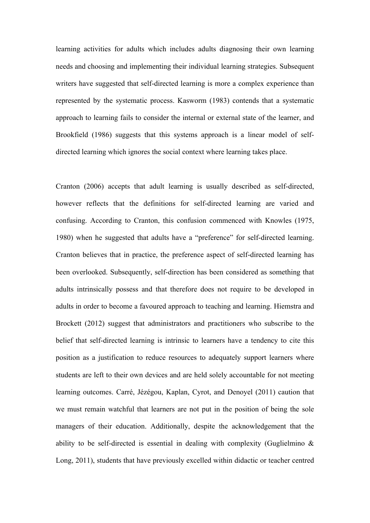learning activities for adults which includes adults diagnosing their own learning needs and choosing and implementing their individual learning strategies. Subsequent writers have suggested that self-directed learning is more a complex experience than represented by the systematic process. Kasworm (1983) contends that a systematic approach to learning fails to consider the internal or external state of the learner, and Brookfield (1986) suggests that this systems approach is a linear model of selfdirected learning which ignores the social context where learning takes place.

Cranton (2006) accepts that adult learning is usually described as self-directed, however reflects that the definitions for self-directed learning are varied and confusing. According to Cranton, this confusion commenced with Knowles (1975, 1980) when he suggested that adults have a "preference" for self-directed learning. Cranton believes that in practice, the preference aspect of self-directed learning has been overlooked. Subsequently, self-direction has been considered as something that adults intrinsically possess and that therefore does not require to be developed in adults in order to become a favoured approach to teaching and learning. Hiemstra and Brockett (2012) suggest that administrators and practitioners who subscribe to the belief that self-directed learning is intrinsic to learners have a tendency to cite this position as a justification to reduce resources to adequately support learners where students are left to their own devices and are held solely accountable for not meeting learning outcomes. Carré, Jézégou, Kaplan, Cyrot, and Denoyel (2011) caution that we must remain watchful that learners are not put in the position of being the sole managers of their education. Additionally, despite the acknowledgement that the ability to be self-directed is essential in dealing with complexity (Guglielmino & Long, 2011), students that have previously excelled within didactic or teacher centred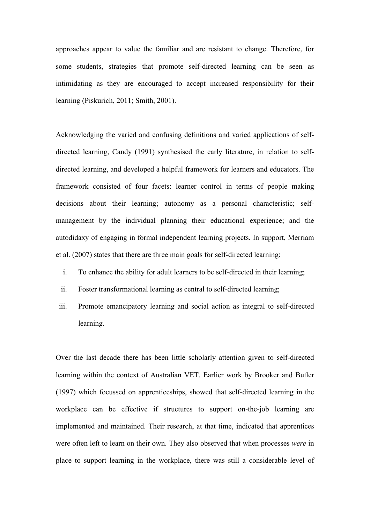approaches appear to value the familiar and are resistant to change. Therefore, for some students, strategies that promote self-directed learning can be seen as intimidating as they are encouraged to accept increased responsibility for their learning (Piskurich, 2011; Smith, 2001).

Acknowledging the varied and confusing definitions and varied applications of selfdirected learning, Candy (1991) synthesised the early literature, in relation to selfdirected learning, and developed a helpful framework for learners and educators. The framework consisted of four facets: learner control in terms of people making decisions about their learning; autonomy as a personal characteristic; selfmanagement by the individual planning their educational experience; and the autodidaxy of engaging in formal independent learning projects. In support, Merriam et al. (2007) states that there are three main goals for self-directed learning:

- i. To enhance the ability for adult learners to be self-directed in their learning;
- ii. Foster transformational learning as central to self-directed learning;
- iii. Promote emancipatory learning and social action as integral to self-directed learning.

Over the last decade there has been little scholarly attention given to self-directed learning within the context of Australian VET. Earlier work by Brooker and Butler (1997) which focussed on apprenticeships, showed that self-directed learning in the workplace can be effective if structures to support on-the-job learning are implemented and maintained. Their research, at that time, indicated that apprentices were often left to learn on their own. They also observed that when processes *were* in place to support learning in the workplace, there was still a considerable level of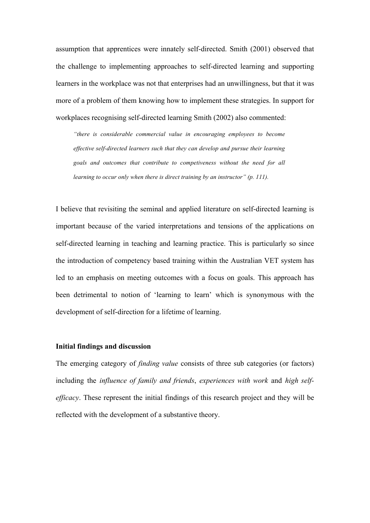assumption that apprentices were innately self-directed. Smith (2001) observed that the challenge to implementing approaches to self-directed learning and supporting learners in the workplace was not that enterprises had an unwillingness, but that it was more of a problem of them knowing how to implement these strategies. In support for workplaces recognising self-directed learning Smith (2002) also commented:

*"there is considerable commercial value in encouraging employees to become effective self-directed learners such that they can develop and pursue their learning goals and outcomes that contribute to competiveness without the need for all learning to occur only when there is direct training by an instructor" (p. 111).*

I believe that revisiting the seminal and applied literature on self-directed learning is important because of the varied interpretations and tensions of the applications on self-directed learning in teaching and learning practice. This is particularly so since the introduction of competency based training within the Australian VET system has led to an emphasis on meeting outcomes with a focus on goals. This approach has been detrimental to notion of 'learning to learn' which is synonymous with the development of self-direction for a lifetime of learning.

# **Initial findings and discussion**

The emerging category of *finding value* consists of three sub categories (or factors) including the *influence of family and friends*, *experiences with work* and *high selfefficacy*. These represent the initial findings of this research project and they will be reflected with the development of a substantive theory.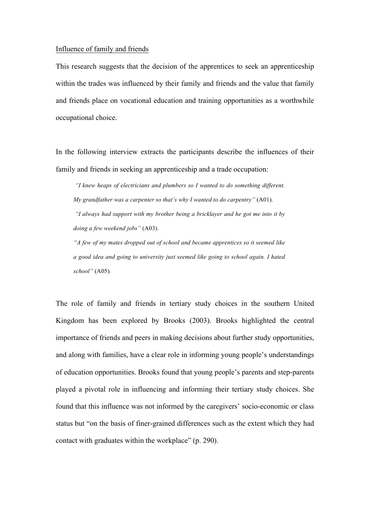## Influence of family and friends

This research suggests that the decision of the apprentices to seek an apprenticeship within the trades was influenced by their family and friends and the value that family and friends place on vocational education and training opportunities as a worthwhile occupational choice.

In the following interview extracts the participants describe the influences of their family and friends in seeking an apprenticeship and a trade occupation:

*"I knew heaps of electricians and plumbers so I wanted to do something different. My grandfather was a carpenter so that's why I wanted to do carpentry"* (A01). *"I always had support with my brother being a bricklayer and he got me into it by* 

*doing a few weekend jobs"* (A03).

*"A few of my mates dropped out of school and became apprentices so it seemed like a good idea and going to university just seemed like going to school again. I hated school"* (A05)*.*

The role of family and friends in tertiary study choices in the southern United Kingdom has been explored by Brooks (2003). Brooks highlighted the central importance of friends and peers in making decisions about further study opportunities, and along with families, have a clear role in informing young people's understandings of education opportunities. Brooks found that young people's parents and step-parents played a pivotal role in influencing and informing their tertiary study choices. She found that this influence was not informed by the caregivers' socio-economic or class status but "on the basis of finer-grained differences such as the extent which they had contact with graduates within the workplace" (p. 290).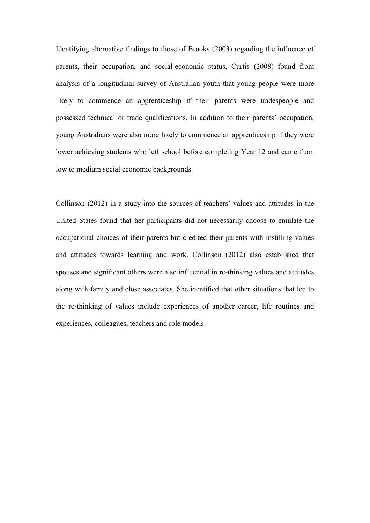Identifying alternative findings to those of Brooks (2003) regarding the influence of parents, their occupation, and social-economic status, Curtis (2008) found from analysis of a longitudinal survey of Australian youth that young people were more likely to commence an apprenticeship if their parents were tradespeople and possessed technical or trade qualifications. In addition to their parents' occupation, young Australians were also more likely to commence an apprenticeship if they were lower achieving students who left school before completing Year 12 and came from low to medium social economic backgrounds.

Collinson (2012) in a study into the sources of teachers' values and attitudes in the United States found that her participants did not necessarily choose to emulate the occupational choices of their parents but credited their parents with instilling values and attitudes towards learning and work. Collinson (2012) also established that spouses and significant others were also influential in re-thinking values and attitudes along with family and close associates. She identified that other situations that led to the re-thinking of values include experiences of another career, life routines and experiences, colleagues, teachers and role models.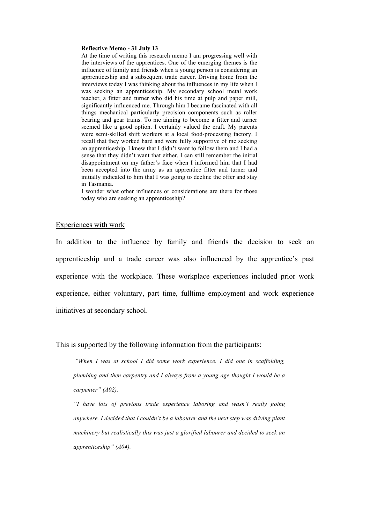#### **Reflective Memo - 31 July 13**

At the time of writing this research memo I am progressing well with the interviews of the apprentices. One of the emerging themes is the influence of family and friends when a young person is considering an apprenticeship and a subsequent trade career. Driving home from the interviews today I was thinking about the influences in my life when I was seeking an apprenticeship. My secondary school metal work teacher, a fitter and turner who did his time at pulp and paper mill, significantly influenced me. Through him I became fascinated with all things mechanical particularly precision components such as roller bearing and gear trains. To me aiming to become a fitter and turner seemed like a good option. I certainly valued the craft. My parents were semi-skilled shift workers at a local food-processing factory. I recall that they worked hard and were fully supportive of me seeking an apprenticeship. I knew that I didn't want to follow them and I had a sense that they didn't want that either. I can still remember the initial disappointment on my father's face when I informed him that I had been accepted into the army as an apprentice fitter and turner and initially indicated to him that I was going to decline the offer and stay in Tasmania.

I wonder what other influences or considerations are there for those today who are seeking an apprenticeship?

## Experiences with work

In addition to the influence by family and friends the decision to seek an apprenticeship and a trade career was also influenced by the apprentice's past experience with the workplace. These workplace experiences included prior work experience, either voluntary, part time, fulltime employment and work experience initiatives at secondary school.

This is supported by the following information from the participants:

*"When I was at school I did some work experience. I did one in scaffolding, plumbing and then carpentry and I always from a young age thought I would be a carpenter" (A02).*

*"I have lots of previous trade experience laboring and wasn't really going anywhere. I decided that I couldn't be a labourer and the next step was driving plant machinery but realistically this was just a glorified labourer and decided to seek an apprenticeship" (A04).*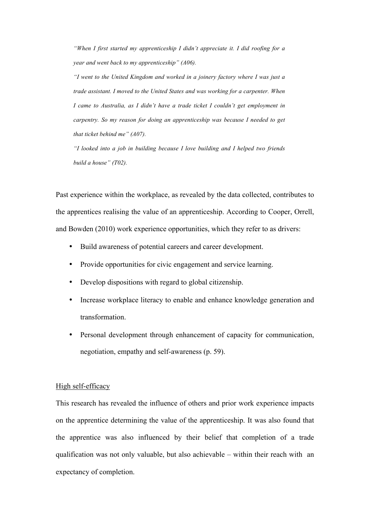*"When I first started my apprenticeship I didn't appreciate it. I did roofing for a year and went back to my apprenticeship" (A06).*

*"I went to the United Kingdom and worked in a joinery factory where I was just a trade assistant. I moved to the United States and was working for a carpenter. When I came to Australia, as I didn't have a trade ticket I couldn't get employment in carpentry. So my reason for doing an apprenticeship was because I needed to get that ticket behind me" (A07).*

*"I looked into a job in building because I love building and I helped two friends build a house" (T02).*

Past experience within the workplace, as revealed by the data collected, contributes to the apprentices realising the value of an apprenticeship. According to Cooper, Orrell, and Bowden (2010) work experience opportunities, which they refer to as drivers:

- Build awareness of potential careers and career development.
- Provide opportunities for civic engagement and service learning.
- Develop dispositions with regard to global citizenship.
- Increase workplace literacy to enable and enhance knowledge generation and transformation.
- Personal development through enhancement of capacity for communication, negotiation, empathy and self-awareness (p. 59).

# High self-efficacy

This research has revealed the influence of others and prior work experience impacts on the apprentice determining the value of the apprenticeship. It was also found that the apprentice was also influenced by their belief that completion of a trade qualification was not only valuable, but also achievable – within their reach with an expectancy of completion.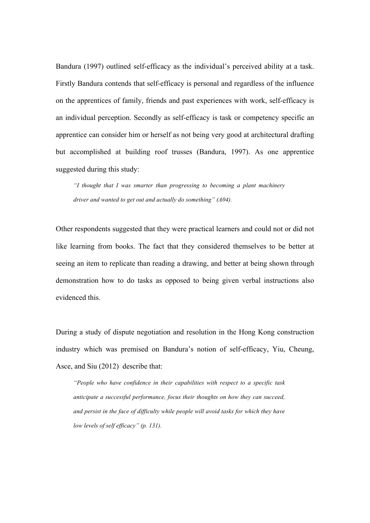Bandura (1997) outlined self-efficacy as the individual's perceived ability at a task. Firstly Bandura contends that self-efficacy is personal and regardless of the influence on the apprentices of family, friends and past experiences with work, self-efficacy is an individual perception. Secondly as self-efficacy is task or competency specific an apprentice can consider him or herself as not being very good at architectural drafting but accomplished at building roof trusses (Bandura, 1997). As one apprentice suggested during this study:

*"I thought that I was smarter than progressing to becoming a plant machinery driver and wanted to get out and actually do something" (A04).* 

Other respondents suggested that they were practical learners and could not or did not like learning from books. The fact that they considered themselves to be better at seeing an item to replicate than reading a drawing, and better at being shown through demonstration how to do tasks as opposed to being given verbal instructions also evidenced this.

During a study of dispute negotiation and resolution in the Hong Kong construction industry which was premised on Bandura's notion of self-efficacy, Yiu, Cheung, Asce, and Siu (2012) describe that:

*"People who have confidence in their capabilities with respect to a specific task anticipate a successful performance, focus their thoughts on how they can succeed, and persist in the face of difficulty while people will avoid tasks for which they have low levels of self efficacy" (p. 131).*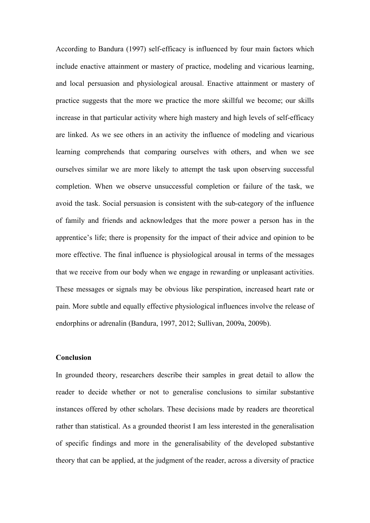According to Bandura (1997) self-efficacy is influenced by four main factors which include enactive attainment or mastery of practice, modeling and vicarious learning, and local persuasion and physiological arousal. Enactive attainment or mastery of practice suggests that the more we practice the more skillful we become; our skills increase in that particular activity where high mastery and high levels of self-efficacy are linked. As we see others in an activity the influence of modeling and vicarious learning comprehends that comparing ourselves with others, and when we see ourselves similar we are more likely to attempt the task upon observing successful completion. When we observe unsuccessful completion or failure of the task, we avoid the task. Social persuasion is consistent with the sub-category of the influence of family and friends and acknowledges that the more power a person has in the apprentice's life; there is propensity for the impact of their advice and opinion to be more effective. The final influence is physiological arousal in terms of the messages that we receive from our body when we engage in rewarding or unpleasant activities. These messages or signals may be obvious like perspiration, increased heart rate or pain. More subtle and equally effective physiological influences involve the release of endorphins or adrenalin (Bandura, 1997, 2012; Sullivan, 2009a, 2009b).

## **Conclusion**

In grounded theory, researchers describe their samples in great detail to allow the reader to decide whether or not to generalise conclusions to similar substantive instances offered by other scholars. These decisions made by readers are theoretical rather than statistical. As a grounded theorist I am less interested in the generalisation of specific findings and more in the generalisability of the developed substantive theory that can be applied, at the judgment of the reader, across a diversity of practice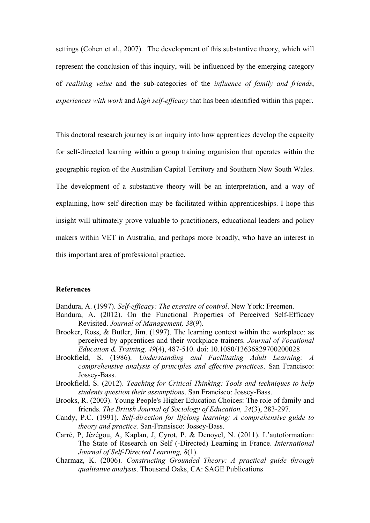settings (Cohen et al., 2007). The development of this substantive theory, which will represent the conclusion of this inquiry, will be influenced by the emerging category of *realising value* and the sub-categories of the *influence of family and friends*, *experiences with work* and *high self-efficacy* that has been identified within this paper.

This doctoral research journey is an inquiry into how apprentices develop the capacity for self-directed learning within a group training organision that operates within the geographic region of the Australian Capital Territory and Southern New South Wales. The development of a substantive theory will be an interpretation, and a way of explaining, how self-direction may be facilitated within apprenticeships. I hope this insight will ultimately prove valuable to practitioners, educational leaders and policy makers within VET in Australia, and perhaps more broadly, who have an interest in this important area of professional practice.

# **References**

- Bandura, A. (1997). *Self-efficacy: The exercise of control*. New York: Freemen.
- Bandura, A. (2012). On the Functional Properties of Perceived Self-Efficacy Revisited. *Journal of Management, 38*(9).
- Brooker, Ross, & Butler, Jim. (1997). The learning context within the workplace: as perceived by apprentices and their workplace trainers. *Journal of Vocational Education & Training, 49*(4), 487-510. doi: 10.1080/13636829700200028
- Brookfield, S. (1986). *Understanding and Facilitating Adult Learning: A comprehensive analysis of principles and effective practices*. San Francisco: Jossey-Bass.
- Brookfield, S. (2012). *Teaching for Critical Thinking: Tools and techniques to help students question their assumptions*. San Francisco: Jossey-Bass.
- Brooks, R. (2003). Young People's Higher Education Choices: The role of family and friends. *The British Journal of Sociology of Education, 24*(3), 283-297.
- Candy, P.C. (1991). *Self-direction for lifelong learning: A comprehensive guide to theory and practice.* San-Fransisco: Jossey-Bass.
- Carré, P, Jézégou, A, Kaplan, J, Cyrot, P, & Denoyel, N. (2011). L'autoformation: The State of Research on Self (-Directed) Learning in France. *International Journal of Self-Directed Learning, 8*(1).
- Charmaz, K. (2006). *Constructing Grounded Theory: A practical guide through qualitative analysis*. Thousand Oaks, CA: SAGE Publications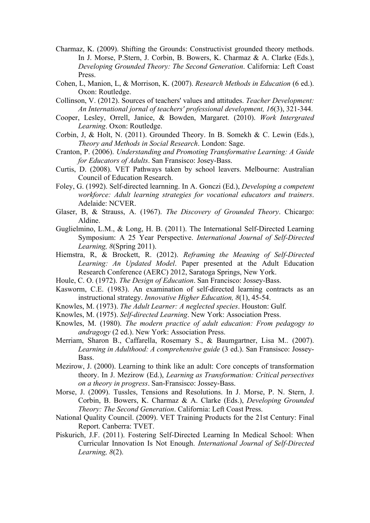- Charmaz, K. (2009). Shifting the Grounds: Constructivist grounded theory methods. In J. Morse, P.Stern, J. Corbin, B. Bowers, K. Charmaz & A. Clarke (Eds.), *Developing Grounded Theory: The Second Generation*. California: Left Coast Press.
- Cohen, L, Manion, L, & Morrison, K. (2007). *Research Methods in Education* (6 ed.). Oxon: Routledge.
- Collinson, V. (2012). Sources of teachers' values and attitudes. *Teacher Development: An International jornal of teachers' professional development, 16*(3), 321-344.
- Cooper, Lesley, Orrell, Janice, & Bowden, Margaret. (2010). *Work Intergrated Learning*. Oxon: Routledge.
- Corbin, J, & Holt, N. (2011). Grounded Theory. In B. Somekh & C. Lewin (Eds.), *Theory and Methods in Social Research*. London: Sage.
- Cranton, P. (2006). *Understanding and Promoting Transformative Learning: A Guide for Educators of Adults*. San Fransisco: Josey-Bass.
- Curtis, D. (2008). VET Pathways taken by school leavers. Melbourne: Australian Council of Education Research.
- Foley, G. (1992). Self-directed learnning. In A. Gonczi (Ed.), *Developing a competent workforce: Adult learning strategies for vocational educators and trainers*. Adelaide: NCVER.
- Glaser, B, & Strauss, A. (1967). *The Discovery of Grounded Theory*. Chicargo: Aldine.
- Guglielmino, L.M., & Long, H. B. (2011). The International Self-Directed Learning Symposium: A 25 Year Perspective. *International Journal of Self-Directed Learning, 8*(Spring 2011).
- Hiemstra, R, & Brockett, R. (2012). *Reframing the Meaning of Self-Directed Learning: An Updated Model*. Paper presented at the Adult Education Research Conference (AERC) 2012, Saratoga Springs, New York.
- Houle, C. O. (1972). *The Design of Education*. San Francisco: Jossey-Bass.
- Kasworm, C.E. (1983). An examination of self-directed learning contracts as an instructional strategy. *Innovative Higher Education, 8*(1), 45-54.
- Knowles, M. (1973). *The Adult Learner: A neglected species*. Houston: Gulf.
- Knowles, M. (1975). *Self-directed Learning*. New York: Association Press.
- Knowles, M. (1980). *The modern practice of adult education: From pedagogy to andragogy* (2 ed.). New York: Association Press.
- Merriam, Sharon B., Caffarella, Rosemary S., & Baumgartner, Lisa M.. (2007). *Learning in Adulthood: A comprehensive guide* (3 ed.). San Fransisco: Jossey-Bass.
- Mezirow, J. (2000). Learning to think like an adult: Core concepts of transformation theory. In J. Mezirow (Ed.), *Learning as Transformation: Critical persectives on a theory in progress*. San-Fransisco: Jossey-Bass.
- Morse, J. (2009). Tussles, Tensions and Resolutions. In J. Morse, P. N. Stern, J. Corbin, B. Bowers, K. Charmaz & A. Clarke (Eds.), *Developing Grounded Theory: The Second Generation*. California: Left Coast Press.
- National Quality Council. (2009). VET Training Products for the 21st Century: Final Report. Canberra: TVET.
- Piskurich, J.F. (2011). Fostering Self-Directed Learning In Medical School: When Curricular Innovation Is Not Enough. *International Journal of Self-Directed Learning, 8*(2).